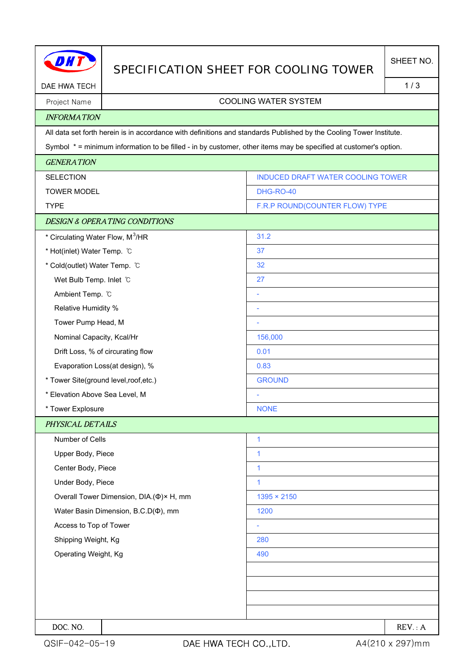|                                                                                                                  | SPECIFICATION SHEET FOR COOLING TOWER                                                                               |                                   | SHEET NO. |  |  |
|------------------------------------------------------------------------------------------------------------------|---------------------------------------------------------------------------------------------------------------------|-----------------------------------|-----------|--|--|
| DAE HWA TECH                                                                                                     |                                                                                                                     |                                   |           |  |  |
| Project Name                                                                                                     | <b>COOLING WATER SYSTEM</b>                                                                                         |                                   |           |  |  |
| <b>INFORMATION</b>                                                                                               |                                                                                                                     |                                   |           |  |  |
|                                                                                                                  | All data set forth herein is in accordance with definitions and standards Published by the Cooling Tower Institute. |                                   |           |  |  |
| Symbol * = minimum information to be filled - in by customer, other items may be specified at customer's option. |                                                                                                                     |                                   |           |  |  |
| <b>GENERATION</b>                                                                                                |                                                                                                                     |                                   |           |  |  |
| <b>SELECTION</b>                                                                                                 |                                                                                                                     | INDUCED DRAFT WATER COOLING TOWER |           |  |  |
| <b>TOWER MODEL</b>                                                                                               |                                                                                                                     | DHG-RO-40                         |           |  |  |
| <b>TYPE</b>                                                                                                      |                                                                                                                     | F.R.P ROUND(COUNTER FLOW) TYPE    |           |  |  |
|                                                                                                                  | <b>DESIGN &amp; OPERATING CONDITIONS</b>                                                                            |                                   |           |  |  |
| * Circulating Water Flow, M <sup>3</sup> /HR                                                                     |                                                                                                                     | 31.2                              |           |  |  |
| * Hot(inlet) Water Temp. °C                                                                                      |                                                                                                                     | 37                                |           |  |  |
| * Cold(outlet) Water Temp. °C                                                                                    |                                                                                                                     | 32                                |           |  |  |
| Wet Bulb Temp. Inlet C                                                                                           |                                                                                                                     | 27                                |           |  |  |
| Ambient Temp. °C                                                                                                 |                                                                                                                     | ÷                                 |           |  |  |
| Relative Humidity %                                                                                              |                                                                                                                     |                                   |           |  |  |
| Tower Pump Head, M                                                                                               |                                                                                                                     | ۰                                 |           |  |  |
| Nominal Capacity, Kcal/Hr                                                                                        |                                                                                                                     | 156,000                           |           |  |  |
|                                                                                                                  | Drift Loss, % of circurating flow                                                                                   | 0.01                              |           |  |  |
| Evaporation Loss(at design), %                                                                                   |                                                                                                                     | 0.83                              |           |  |  |
| * Tower Site(ground level, roof, etc.)                                                                           |                                                                                                                     | <b>GROUND</b>                     |           |  |  |
| * Elevation Above Sea Level, M                                                                                   |                                                                                                                     |                                   |           |  |  |
| * Tower Explosure                                                                                                |                                                                                                                     | <b>NONE</b>                       |           |  |  |
| PHYSICAL DETAILS                                                                                                 |                                                                                                                     |                                   |           |  |  |
| Number of Cells                                                                                                  |                                                                                                                     | $\mathbf{1}$                      |           |  |  |
| Upper Body, Piece                                                                                                |                                                                                                                     | 1                                 |           |  |  |
| Center Body, Piece                                                                                               |                                                                                                                     | $\mathbf{1}$                      |           |  |  |
| Under Body, Piece                                                                                                |                                                                                                                     | $\mathbf{1}$                      |           |  |  |
|                                                                                                                  | Overall Tower Dimension, DIA.(Φ)× H, mm                                                                             | $1395 \times 2150$                |           |  |  |
|                                                                                                                  | Water Basin Dimension, B.C.D( $\Phi$ ), mm                                                                          | 1200                              |           |  |  |
| Access to Top of Tower                                                                                           |                                                                                                                     |                                   |           |  |  |
| Shipping Weight, Kg                                                                                              |                                                                                                                     | 280                               |           |  |  |
| Operating Weight, Kg                                                                                             |                                                                                                                     | 490                               |           |  |  |
|                                                                                                                  |                                                                                                                     |                                   |           |  |  |
|                                                                                                                  |                                                                                                                     |                                   |           |  |  |
|                                                                                                                  |                                                                                                                     |                                   |           |  |  |
|                                                                                                                  |                                                                                                                     |                                   |           |  |  |
| DOC. NO.                                                                                                         |                                                                                                                     |                                   | REV: A    |  |  |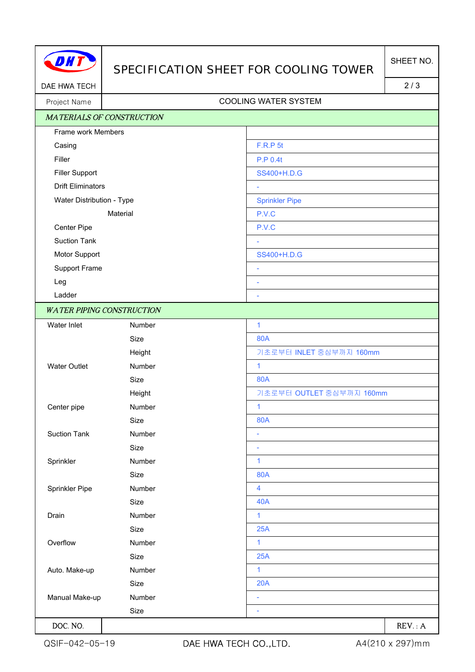

## SPECIFICATION SHEET FOR COOLING TOWER

DAE HWA TECH 2/3

## Project Name Name COOLING WATER SYSTEM

| <b>MATERIALS OF CONSTRUCTION</b> |                                  |                          |  |  |
|----------------------------------|----------------------------------|--------------------------|--|--|
| Frame work Members               |                                  |                          |  |  |
| Casing                           |                                  | <b>F.R.P 5t</b>          |  |  |
| Filler                           |                                  | <b>P.P 0.4t</b>          |  |  |
| <b>Filler Support</b>            |                                  | SS400+H.D.G              |  |  |
| <b>Drift Eliminators</b>         |                                  | $\overline{\phantom{a}}$ |  |  |
| Water Distribution - Type        |                                  | <b>Sprinkler Pipe</b>    |  |  |
| Material                         |                                  | P.V.C                    |  |  |
| Center Pipe                      |                                  | P.V.C                    |  |  |
| <b>Suction Tank</b>              |                                  |                          |  |  |
| Motor Support                    |                                  | SS400+H.D.G              |  |  |
| Support Frame                    |                                  | $\overline{\phantom{a}}$ |  |  |
| Leg                              |                                  | ÷,                       |  |  |
| Ladder                           |                                  | $\overline{\phantom{a}}$ |  |  |
|                                  | <b>WATER PIPING CONSTRUCTION</b> |                          |  |  |
| Water Inlet                      | Number                           | $\mathbf{1}$             |  |  |
|                                  | Size                             | <b>80A</b>               |  |  |
|                                  | Height                           | 기초로부터 INLET 중심부까지 160mm  |  |  |
| <b>Water Outlet</b>              | Number                           | $\mathbf{1}$             |  |  |
|                                  | Size                             | 80A                      |  |  |
|                                  | Height                           | 기초로부터 OUTLET 중심부까지 160mm |  |  |
| Center pipe                      | Number                           | $\overline{1}$           |  |  |
|                                  | Size                             | <b>80A</b>               |  |  |
| <b>Suction Tank</b>              | Number                           | $\overline{\phantom{a}}$ |  |  |
|                                  | Size                             | $\overline{\phantom{a}}$ |  |  |
| Sprinkler                        | Number                           | $\mathbf{1}$             |  |  |
|                                  | Size                             | <b>80A</b>               |  |  |
| Sprinkler Pipe                   | Number                           | $\overline{\mathbf{4}}$  |  |  |
|                                  | Size                             | <b>40A</b>               |  |  |
| Drain                            | Number                           | $\mathbf{1}$             |  |  |
|                                  | Size                             | 25A                      |  |  |
| Overflow                         | Number                           | $\mathbf{1}$             |  |  |
|                                  | Size                             | 25A                      |  |  |
| Auto. Make-up                    | Number                           | $\mathbf{1}$             |  |  |
|                                  | Size                             | 20A                      |  |  |
| Manual Make-up<br>Number         |                                  | ä,                       |  |  |
|                                  | Size                             | ÷                        |  |  |
| DOC. NO.                         |                                  | REV: A                   |  |  |